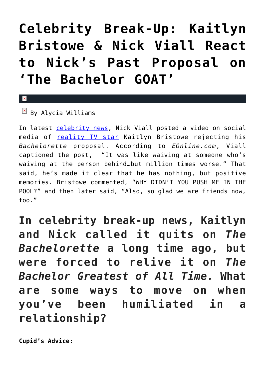# **[Celebrity Break-Up: Kaitlyn](https://cupidspulse.com/134974/celebrity-break-up-kaitlyn-bristowe-nick-viall-react-nicks-past-proposal/) [Bristowe & Nick Viall React](https://cupidspulse.com/134974/celebrity-break-up-kaitlyn-bristowe-nick-viall-react-nicks-past-proposal/) [to Nick's Past Proposal on](https://cupidspulse.com/134974/celebrity-break-up-kaitlyn-bristowe-nick-viall-react-nicks-past-proposal/) ['The Bachelor GOAT'](https://cupidspulse.com/134974/celebrity-break-up-kaitlyn-bristowe-nick-viall-react-nicks-past-proposal/)**

## $\overline{\mathbb{F}}$  By Alycia Williams

 $\mathbf{\overline{x}}$ 

In latest [celebrity news,](http://cupidspulse.com/celebrity-news/) Nick Viall posted a video on social media of [reality TV star](http://cupidspulse.com/celebrity-news/reality-tv/) Kaitlyn Bristowe rejecting his *Bachelorette* proposal. According to *EOnline.com*, Viall captioned the post, "It was like waiving at someone who's waiving at the person behind…but million times worse." That said, he's made it clear that he has nothing, but positive memories. Bristowe commented, "WHY DIDN'T YOU PUSH ME IN THE POOL?" and then later said, "Also, so glad we are friends now, too."

**In celebrity break-up news, Kaitlyn and Nick called it quits on** *The Bachelorette* **a long time ago, but were forced to relive it on** *The Bachelor Greatest of All Time.* **What are some ways to move on when you've been humiliated in a relationship?**

```
Cupid's Advice:
```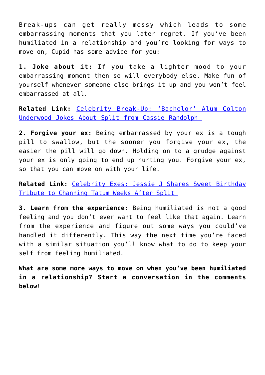Break-ups can get really messy which leads to some embarrassing moments that you later regret. If you've been humiliated in a relationship and you're looking for ways to move on, Cupid has some advice for you:

**1. Joke about it:** If you take a lighter mood to your embarrassing moment then so will everybody else. Make fun of yourself whenever someone else brings it up and you won't feel embarrassed at all.

**Related Link:** [Celebrity Break-Up: 'Bachelor' Alum Colton](http://cupidspulse.com/134882/celebrity-break-up-colton-underwood-jokes-split-cassie-randolph/) [Underwood Jokes About Split from Cassie Randolph](http://cupidspulse.com/134882/celebrity-break-up-colton-underwood-jokes-split-cassie-randolph/) 

**2. Forgive your ex:** Being embarrassed by your ex is a tough pill to swallow, but the sooner you forgive your ex, the easier the pill will go down. Holding on to a grudge against your ex is only going to end up hurting you. Forgive your ex, so that you can move on with your life.

**Related Link:** [Celebrity Exes: Jessie J Shares Sweet Birthday](http://cupidspulse.com/134601/celebrity-exes-jessie-j-birthday-tribute-channing-tatum-after-split/) [Tribute to Channing Tatum Weeks After Split](http://cupidspulse.com/134601/celebrity-exes-jessie-j-birthday-tribute-channing-tatum-after-split/) 

**3. Learn from the experience:** Being humiliated is not a good feeling and you don't ever want to feel like that again. Learn from the experience and figure out some ways you could've handled it differently. This way the next time you're faced with a similar situation you'll know what to do to keep your self from feeling humiliated.

**What are some more ways to move on when you've been humiliated in a relationship? Start a conversation in the comments below!**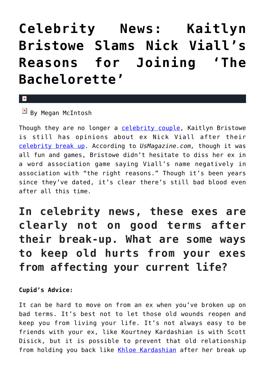# **[Celebrity News: Kaitlyn](https://cupidspulse.com/130010/celebrity-news-kaitlyn-bristowe-slams-nick-viall-joining-bachelorette/) [Bristowe Slams Nick Viall's](https://cupidspulse.com/130010/celebrity-news-kaitlyn-bristowe-slams-nick-viall-joining-bachelorette/) [Reasons for Joining 'The](https://cupidspulse.com/130010/celebrity-news-kaitlyn-bristowe-slams-nick-viall-joining-bachelorette/) [Bachelorette'](https://cupidspulse.com/130010/celebrity-news-kaitlyn-bristowe-slams-nick-viall-joining-bachelorette/)**

#### $\mathbf{x}$

 $\boxed{\times}$  By Megan McIntosh

Though they are no longer a [celebrity couple,](http://cupidspulse.com/celebrity-news/celebrity-dating/) Kaitlyn Bristowe is still has opinions about ex Nick Viall after their [celebrity break up.](http://cupidspulse.com/celebrity-relationships/break-up-divorce/) According to *UsMagazine.com,* though it was all fun and games, Bristowe didn't hesitate to diss her ex in a word association game saying Viall's name negatively in association with "the right reasons." Though it's been years since they've dated, it's clear there's still bad blood even after all this time.

## **In celebrity news, these exes are clearly not on good terms after their break-up. What are some ways to keep old hurts from your exes from affecting your current life?**

### **Cupid's Advice:**

It can be hard to move on from an ex when you've broken up on bad terms. It's best not to let those old wounds reopen and keep you from living your life. It's not always easy to be friends with your ex, like Kourtney Kardashian is with Scott Disick, but it is possible to prevent that old relationship from holding you back like [Khloe Kardashian](http://cupidspulse.com/87702/khloe-kardashian/) after her break up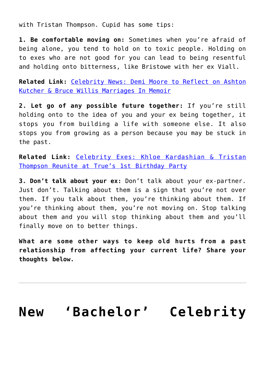with Tristan Thompson. Cupid has some tips:

**1. Be comfortable moving on:** Sometimes when you're afraid of being alone, you tend to hold on to toxic people. Holding on to exes who are not good for you can lead to being resentful and holding onto bitterness, like Bristowe with her ex Viall.

**Related Link:** [Celebrity News: Demi Moore to Reflect on Ashton](http://cupidspulse.com/129900/celebrity-news-demi-moore-reflect-ashton-kutcher-bruce-willis-marriages-memoir/) [Kutcher & Bruce Willis Marriages In Memoir](http://cupidspulse.com/129900/celebrity-news-demi-moore-reflect-ashton-kutcher-bruce-willis-marriages-memoir/)

**2. Let go of any possible future together:** If you're still holding onto to the idea of you and your ex being together, it stops you from building a life with someone else. It also stops you from growing as a person because you may be stuck in the past.

**Related Link:** [Celebrity Exes: Khloe Kardashian & Tristan](http://cupidspulse.com/129866/celebrity-exes-khloe-kardashian-tristan-thompson-reunite-true-1st-birthday/) [Thompson Reunite at True's 1st Birthday Party](http://cupidspulse.com/129866/celebrity-exes-khloe-kardashian-tristan-thompson-reunite-true-1st-birthday/)

**3. Don't talk about your ex:** Don't talk about your ex-partner. Just don't. Talking about them is a sign that you're not over them. If you talk about them, you're thinking about them. If you're thinking about them, you're not moving on. Stop talking about them and you will stop thinking about them and you'll finally move on to better things.

**What are some other ways to keep old hurts from a past relationship from affecting your current life? Share your thoughts below.**

# **[New 'Bachelor' Celebrity](https://cupidspulse.com/128107/new-bachelor-celebrity-couple-jason-tartick-kaitlyn-bristowe-date/)**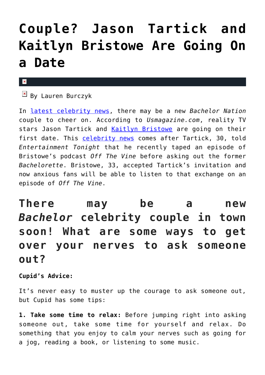# **[Couple? Jason Tartick and](https://cupidspulse.com/128107/new-bachelor-celebrity-couple-jason-tartick-kaitlyn-bristowe-date/) [Kaitlyn Bristowe Are Going On](https://cupidspulse.com/128107/new-bachelor-celebrity-couple-jason-tartick-kaitlyn-bristowe-date/) [a Date](https://cupidspulse.com/128107/new-bachelor-celebrity-couple-jason-tartick-kaitlyn-bristowe-date/)**

#### $\mathbf x$

 $\mathbb{F}$  By Lauren Burczyk

In [latest celebrity news](http://cupidspulse.com/celebrity-news/), there may be a new *Bachelor Nation* couple to cheer on. According to *Usmagazine.com*, reality TV stars Jason Tartick and [Kaitlyn Bristowe](http://cupidspulse.com/92104/kaitlyn-bristowe/) are going on their first date. This [celebrity news](http://cupidspulse.com/celebrity-news/) comes after Tartick, 30, told *Entertainment Tonight* that he recently taped an episode of Bristowe's podcast *Off The Vine* before asking out the former *Bachelorette*. Bristowe, 33, accepted Tartick's invitation and now anxious fans will be able to listen to that exchange on an episode of *Off The Vine*.

## **There may be a new** *Bachelor* **celebrity couple in town soon! What are some ways to get over your nerves to ask someone out?**

**Cupid's Advice:**

It's never easy to muster up the courage to ask someone out, but Cupid has some tips:

**1. Take some time to relax:** Before jumping right into asking someone out, take some time for yourself and relax. Do something that you enjoy to calm your nerves such as going for a jog, reading a book, or listening to some music.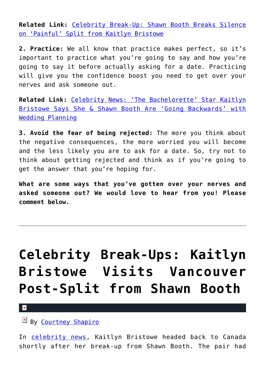**Related Link:** [Celebrity Break-Up: Shawn Booth Breaks Silence](http://cupidspulse.com/127367/celebrity-break-up-shawn-booth-breaks-silence-kaitlyn-bristowe/) [on 'Painful' Split from Kaitlyn Bristowe](http://cupidspulse.com/127367/celebrity-break-up-shawn-booth-breaks-silence-kaitlyn-bristowe/)

**2. Practice:** We all know that practice makes perfect, so it's important to practice what you're going to say and how you're going to say it before actually asking for a date. Practicing will give you the confidence boost you need to get over your nerves and ask someone out.

**Related Link:** [Celebrity News: 'The Bachelorette' Star Kaitlyn](http://cupidspulse.com/125161/celebrity-news-bachelorette-star-kaitlyn-bristowe-shawn-booth-going-backwards-wedding-planning/) [Bristowe Says She & Shawn Booth Are 'Going Backwards' with](http://cupidspulse.com/125161/celebrity-news-bachelorette-star-kaitlyn-bristowe-shawn-booth-going-backwards-wedding-planning/) [Wedding Planning](http://cupidspulse.com/125161/celebrity-news-bachelorette-star-kaitlyn-bristowe-shawn-booth-going-backwards-wedding-planning/)

**3. Avoid the fear of being rejected:** The more you think about the negative consequences, the more worried you will become and the less likely you are to ask for a date. So, try not to think about getting rejected and think as if you're going to get the answer that you're hoping for.

**What are some ways that you've gotten over your nerves and asked someone out? We would love to hear from you! Please comment below.** 

# **[Celebrity Break-Ups: Kaitlyn](https://cupidspulse.com/127353/celebrity-break-ups-kaitlyn-bristowe-visits-vancouver-post-split-shawn-booth/) [Bristowe Visits Vancouver](https://cupidspulse.com/127353/celebrity-break-ups-kaitlyn-bristowe-visits-vancouver-post-split-shawn-booth/) [Post-Split from Shawn Booth](https://cupidspulse.com/127353/celebrity-break-ups-kaitlyn-bristowe-visits-vancouver-post-split-shawn-booth/)**

 $\mathbf{x}$ 

By [Courtney Shapiro](http://cupidspulse.com/126719/courtney-shapiro/)

In [celebrity news](http://cupidspulse.com/celebrity-news/), Kaitlyn Bristowe headed back to Canada shortly after her break-up from Shawn Booth. The pair had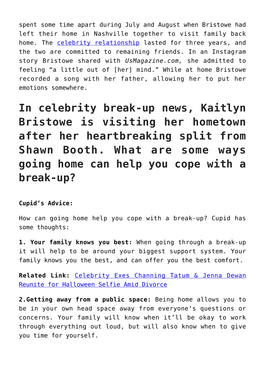spent some time apart during July and August when Bristowe had left their home in Nashville together to visit family back home. The [celebrity relationship](http://cupidspulse.com/celebrity-relationships/) lasted for three years, and the two are committed to remaining friends. In an Instagram story Bristowe shared with *UsMagazine.com,* she admitted to feeling "a little out of [her] mind." While at home Bristowe recorded a song with her father, allowing her to put her emotions somewhere.

**In celebrity break-up news, Kaitlyn Bristowe is visiting her hometown after her heartbreaking split from Shawn Booth. What are some ways going home can help you cope with a break-up?**

### **Cupid's Advice:**

How can going home help you cope with a break-up? Cupid has some thoughts:

**1. Your family knows you best:** When going through a break-up it will help to be around your biggest support system. Your family knows you the best, and can offer you the best comfort.

**Related Link:** [Celebrity Exes Channing Tatum & Jenna Dewan](http://cupidspulse.com/127244/celebrity-exes-channing-tatum-jenna-dewan-reunite-amid-divorce/#qUSLklXxTVKpXhJg.99) [Reunite for Halloween Selfie Amid Divorce](http://cupidspulse.com/127244/celebrity-exes-channing-tatum-jenna-dewan-reunite-amid-divorce/#qUSLklXxTVKpXhJg.99)

**2.Getting away from a public space:** Being home allows you to be in your own head space away from everyone's questions or concerns. Your family will know when it'll be okay to work through everything out loud, but will also know when to give you time for yourself.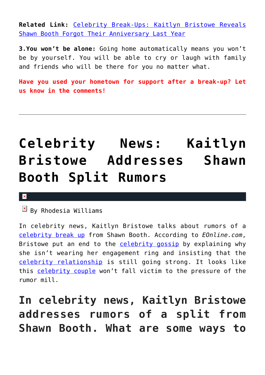**Related Link:** [Celebrity Break-Ups: Kaitlyn Bristowe Reveals](http://cupidspulse.com/127310/celebrity-break-ups-kaitlyn-bristowe-reveals-shawn-booth-forgot-anniversary-last-year/#Cvs8zZIhIxPTHzaU.99) [Shawn Booth Forgot Their Anniversary Last Year](http://cupidspulse.com/127310/celebrity-break-ups-kaitlyn-bristowe-reveals-shawn-booth-forgot-anniversary-last-year/#Cvs8zZIhIxPTHzaU.99)

**3.You won't be alone:** Going home automatically means you won't be by yourself. You will be able to cry or laugh with family and friends who will be there for you no matter what.

**Have you used your hometown for support after a break-up? Let us know in the comments!**

# **[Celebrity News: Kaitlyn](https://cupidspulse.com/126325/celebrity-news-kaitlyn-bristowe-addresses-shawn-booth-split-rumors/) [Bristowe Addresses Shawn](https://cupidspulse.com/126325/celebrity-news-kaitlyn-bristowe-addresses-shawn-booth-split-rumors/) [Booth Split Rumors](https://cupidspulse.com/126325/celebrity-news-kaitlyn-bristowe-addresses-shawn-booth-split-rumors/)**

#### $\mathbf{x}$

 $\overline{\mathbb{F}}$  By Rhodesia Williams

In celebrity news, Kaitlyn Bristowe talks about rumors of a [celebrity break up](http://cupidspulse.com/celebrity-relationships/break-up-divorce/) from Shawn Booth. According to *EOnline.com*, Bristowe put an end to the [celebrity gossip](http://www.cupidspulse.com) by explaining why she isn't wearing her engagement ring and insisting that the [celebrity relationship](http://cupidspulse.com/celebrity-relationships/) is still going strong. It looks like this [celebrity couple](http://cupidspulse.com/celebrity-news/celebrity-dating/) won't fall victim to the pressure of the rumor mill.

## **In celebrity news, Kaitlyn Bristowe addresses rumors of a split from Shawn Booth. What are some ways to**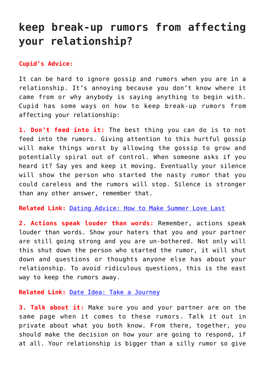## **keep break-up rumors from affecting your relationship?**

#### **Cupid's Advice:**

It can be hard to ignore gossip and rumors when you are in a relationship. It's annoying because you don't know where it came from or why anybody is saying anything to begin with. Cupid has some ways on how to keep break-up rumors from affecting your relationship:

**1. Don't feed into it:** The best thing you can do is to not feed into the rumors. Giving attention to this hurtful gossip will make things worst by allowing the gossip to grow and potentially spiral out of control. When someone asks if you heard it? Say yes and keep it moving. Eventually your silence will show the person who started the nasty rumor that you could careless and the rumors will stop. Silence is stronger than any other answer, remember that.

**Related Link:** [Dating Advice: How to Make Summer Love Last](http://cupidspulse.com/126149/dating-advice-how-make-summer-love-last/)

**2. Actions speak louder than words:** Remember, actions speak louder than words. Show your haters that you and your partner are still going strong and you are un-bothered. Not only will this shut down the person who started the rumor, it will shut down and questions or thoughts anyone else has about your relationship. To avoid ridiculous questions, this is the east way to keep the rumors away.

**Related Link:** [Date Idea: Take a Journey](http://cupidspulse.com/118267/date-idea-take-journey/)

**3. Talk about it:** Make sure you and your partner are on the same page when it comes to these rumors. Talk it out in private about what you both know. From there, together, you should make the decision on how your are going to respond, if at all. Your relationship is bigger than a silly rumor so give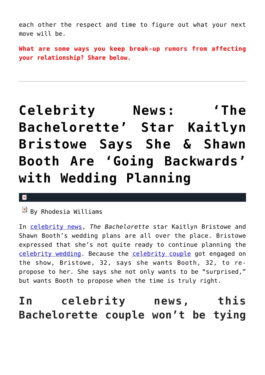each other the respect and time to figure out what your next move will be.

**What are some ways you keep break-up rumors from affecting your relationship? Share below.**

# **[Celebrity News: 'The](https://cupidspulse.com/125161/celebrity-news-bachelorette-star-kaitlyn-bristowe-shawn-booth-going-backwards-wedding-planning/) [Bachelorette' Star Kaitlyn](https://cupidspulse.com/125161/celebrity-news-bachelorette-star-kaitlyn-bristowe-shawn-booth-going-backwards-wedding-planning/) [Bristowe Says She & Shawn](https://cupidspulse.com/125161/celebrity-news-bachelorette-star-kaitlyn-bristowe-shawn-booth-going-backwards-wedding-planning/) [Booth Are 'Going Backwards'](https://cupidspulse.com/125161/celebrity-news-bachelorette-star-kaitlyn-bristowe-shawn-booth-going-backwards-wedding-planning/) [with Wedding Planning](https://cupidspulse.com/125161/celebrity-news-bachelorette-star-kaitlyn-bristowe-shawn-booth-going-backwards-wedding-planning/)**

### $\overline{\mathbf{x}}$

 $\mathbb{E}$  By Rhodesia Williams

In [celebrity news,](http://www.cupidspulse.com) *The Bachelorette* star Kaitlyn Bristowe and Shawn Booth's wedding plans are all over the place. Bristowe expressed that she's not quite ready to continue planning the [celebrity wedding](http://cupidspulse.com/celebrity-news/celebrity-weddings). Because the [celebrity couple](http://cupidspulse.com/celebrity-news/celebrity-dating/) got engaged on the show, Bristowe, 32, says she wants Booth, 32, to repropose to her. She says she not only wants to be "surprised," but wants Booth to propose when the time is truly right.

## **In celebrity news, this Bachelorette couple won't be tying**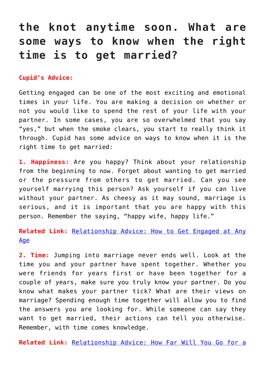## **the knot anytime soon. What are some ways to know when the right time is to get married?**

### **Cupid's Advice:**

Getting engaged can be one of the most exciting and emotional times in your life. You are making a decision on whether or not you would like to spend the rest of your life with your partner. In some cases, you are so overwhelmed that you say "yes," but when the smoke clears, you start to really think it through. Cupid has some advice on ways to know when it is the right time to get married:

**1. Happiness:** Are you happy? Think about your relationship from the beginning to now. Forget about wanting to get married or the pressure from others to get married. Can you see yourself marrying this person? Ask yourself if you can live without your partner. As cheesy as it may sound, marriage is serious, and it is important that you are happy with this person. Remember the saying, "happy wife, happy life."

**Related Link:** [Relationship Advice: How to Get Engaged at Any](http://cupidspulse.com/123992/relationship-advice-how-get-engaged/) [Age](http://cupidspulse.com/123992/relationship-advice-how-get-engaged/)

**2. Time:** Jumping into marriage never ends well. Look at the time you and your partner have spent together. Whether you were friends for years first or have been together for a couple of years, make sure you truly know your partner. Do you know what makes your partner tick? What are their views on marriage? Spending enough time together will allow you to find the answers you are looking for. While someone can say they want to get married, their actions can tell you otherwise. Remember, with time comes knowledge.

**Related Link:** [Relationship Advice: How Far Will You Go for a](http://cupidspulse.com/117268/relationship-advice-how-far-long-distance-relationship/)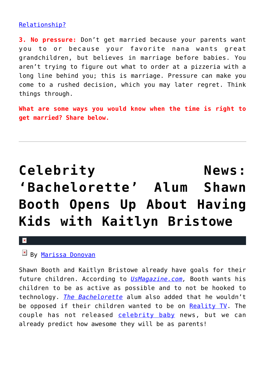## [Relationship?](http://cupidspulse.com/117268/relationship-advice-how-far-long-distance-relationship/)

**3. No pressure:** Don't get married because your parents want you to or because your favorite nana wants great grandchildren, but believes in marriage before babies. You aren't trying to figure out what to order at a pizzeria with a long line behind you; this is marriage. Pressure can make you come to a rushed decision, which you may later regret. Think things through.

**What are some ways you would know when the time is right to get married? Share below.**

# Celebrity **News: ['Bachelorette' Alum Shawn](https://cupidspulse.com/120331/celebrity-news-bachelorette-shawn-booth-kids-kaitlyn-bristowe/) [Booth Opens Up About Having](https://cupidspulse.com/120331/celebrity-news-bachelorette-shawn-booth-kids-kaitlyn-bristowe/) [Kids with Kaitlyn Bristowe](https://cupidspulse.com/120331/celebrity-news-bachelorette-shawn-booth-kids-kaitlyn-bristowe/)**

#### $\mathbf x$

## **E** By [Marissa Donovan](http://cupidspulse.com/118743/marissa-donovan/)

Shawn Booth and Kaitlyn Bristowe already have goals for their future children. According to *[UsMagazine.com,](http://www.usmagazine.com/celebrity-news/news/shawn-booth-on-having-kids-with-kaitlyn-bristowe-we-want-them-to-be-active-w498416)* Booth wants his children to be as active as possible and to not be hooked to technology. *[The Bachelorette](http://cupidspulse.com/celebrity-news/reality-tv/the-bachelorette/)* alum also added that he wouldn't be opposed if their children wanted to be on [Reality TV](http://cupidspulse.com/celebrity-news/reality-tv/). The couple has not released [celebrity baby](http://cupidspulse.com/celebrity-news/celebrity-babies/) news, but we can already predict how awesome they will be as parents!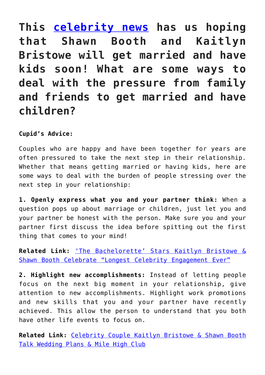**This [celebrity news](http://cupidspulse.com/celebrity-news/) has us hoping that Shawn Booth and Kaitlyn Bristowe will get married and have kids soon! What are some ways to deal with the pressure from family and friends to get married and have children?**

**Cupid's Advice:**

Couples who are happy and have been together for years are often pressured to take the next step in their relationship. Whether that means getting married or having kids, here are some ways to deal with the burden of people stressing over the next step in your relationship:

**1. Openly express what you and your partner think:** When a question pops up about marriage or children, just let you and your partner be honest with the person. Make sure you and your partner first discuss the idea before spitting out the first thing that comes to your mind!

**Related Link:** ['The Bachelorette' Stars Kaitlyn Bristowe &](http://cupidspulse.com/118255/the-bachelorette-kaitlyn-bristowe-shawn-booth-celebrate-celebrity-engagement/) [Shawn Booth Celebrate "Longest Celebrity Engagement Ever"](http://cupidspulse.com/118255/the-bachelorette-kaitlyn-bristowe-shawn-booth-celebrate-celebrity-engagement/)

**2. Highlight new accomplishments:** Instead of letting people focus on the next big moment in your relationship, give attention to new accomplishments. Highlight work promotions and new skills that you and your partner have recently achieved. This allow the person to understand that you both have other life events to focus on.

**Related Link:** [Celebrity Couple Kaitlyn Bristowe & Shawn Booth](http://cupidspulse.com/101791/celebrity-couple-kaitlyn-bristowe-shawn-booth-wedding-plans-mile-high-club/) [Talk Wedding Plans & Mile High Club](http://cupidspulse.com/101791/celebrity-couple-kaitlyn-bristowe-shawn-booth-wedding-plans-mile-high-club/)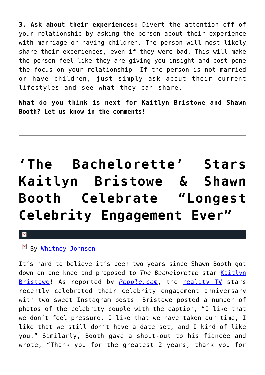**3. Ask about their experiences:** Divert the attention off of your relationship by asking the person about their experience with marriage or having children. The person will most likely share their experiences, even if they were bad. This will make the person feel like they are giving you insight and post pone the focus on your relationship. If the person is not married or have children, just simply ask about their current lifestyles and see what they can share.

**What do you think is next for Kaitlyn Bristowe and Shawn Booth? Let us know in the comments!**

# **['The Bachelorette' Stars](https://cupidspulse.com/118255/the-bachelorette-kaitlyn-bristowe-shawn-booth-celebrate-celebrity-engagement/) [Kaitlyn Bristowe & Shawn](https://cupidspulse.com/118255/the-bachelorette-kaitlyn-bristowe-shawn-booth-celebrate-celebrity-engagement/) [Booth Celebrate "Longest](https://cupidspulse.com/118255/the-bachelorette-kaitlyn-bristowe-shawn-booth-celebrate-celebrity-engagement/) [Celebrity Engagement Ever"](https://cupidspulse.com/118255/the-bachelorette-kaitlyn-bristowe-shawn-booth-celebrate-celebrity-engagement/)**

## $\mathbf{x}$

## By [Whitney Johnson](http://cupidspulse.com/104601/whitney-johnson/)

It's hard to believe it's been two years since Shawn Booth got down on one knee and proposed to *The Bachelorette* star [Kaitlyn](http://cupidspulse.com/92104/kaitlyn-bristowe/) [Bristowe](http://cupidspulse.com/92104/kaitlyn-bristowe/)! As reported by **[People.com](http://people.com/celebrity/bachelorette-kaitlyn-bristowe-shawn-booth-celebrate-two-year-engagement-anniversary/)**, the [reality TV](http://cupidspulse.com/celebrity-news/reality-tv/the-bachelorette/) stars recently celebrated their celebrity engagement anniversary with two sweet Instagram posts. Bristowe posted a number of photos of the celebrity couple with the caption, "I like that we don't feel pressure, I like that we have taken our time, I like that we still don't have a date set, and I kind of like you." Similarly, Booth gave a shout-out to his fiancée and wrote, "Thank you for the greatest 2 years, thank you for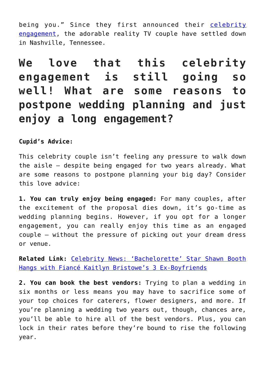being you." Since they first announced their [celebrity](http://cupidspulse.com/celebrity-news/celebrity-weddings/) [engagement](http://cupidspulse.com/celebrity-news/celebrity-weddings/), the adorable reality TV couple have settled down in Nashville, Tennessee.

**We love that this celebrity engagement is still going so well! What are some reasons to postpone wedding planning and just enjoy a long engagement?**

**Cupid's Advice:**

This celebrity couple isn't feeling any pressure to walk down the aisle — despite being engaged for two years already. What are some reasons to postpone planning your big day? Consider this love advice:

**1. You can truly enjoy being engaged:** For many couples, after the excitement of the proposal dies down, it's go-time as wedding planning begins. However, if you opt for a longer engagement, you can really enjoy this time as an engaged couple — without the pressure of picking out your dream dress or venue.

**Related Link:** [Celebrity News: 'Bachelorette' Star Shawn Booth](http://cupidspulse.com/106669/celebrity-news-bachelorette-star-shawn-booth-hangs-kaitlyn-bristowes-ex-boyfriends/) [Hangs with Fiancé Kaitlyn Bristowe's 3 Ex-Boyfriends](http://cupidspulse.com/106669/celebrity-news-bachelorette-star-shawn-booth-hangs-kaitlyn-bristowes-ex-boyfriends/)

**2. You can book the best vendors:** Trying to plan a wedding in six months or less means you may have to sacrifice some of your top choices for caterers, flower designers, and more. If you're planning a wedding two years out, though, chances are, you'll be able to hire all of the best vendors. Plus, you can lock in their rates before they're bound to rise the following year.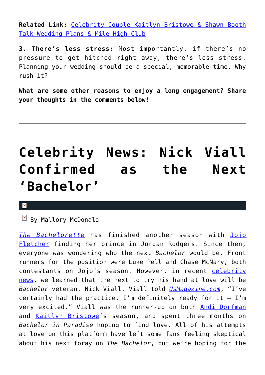**Related Link:** [Celebrity Couple Kaitlyn Bristowe & Shawn Booth](http://cupidspulse.com/101791/celebrity-couple-kaitlyn-bristowe-shawn-booth-wedding-plans-mile-high-club/) [Talk Wedding Plans & Mile High Club](http://cupidspulse.com/101791/celebrity-couple-kaitlyn-bristowe-shawn-booth-wedding-plans-mile-high-club/)

**3. There's less stress:** Most importantly, if there's no pressure to get hitched right away, there's less stress. Planning your wedding should be a special, memorable time. Why rush it?

**What are some other reasons to enjoy a long engagement? Share your thoughts in the comments below!** 

# **[Celebrity News: Nick Viall](https://cupidspulse.com/114398/celebrity-news-nick-viall-next-bachelor/) [Confirmed as the Next](https://cupidspulse.com/114398/celebrity-news-nick-viall-next-bachelor/) ['Bachelor'](https://cupidspulse.com/114398/celebrity-news-nick-viall-next-bachelor/)**

#### $\mathbf{x}$

## $\overline{\mathbb{F}}$  By Mallory McDonald

*[The Bachelorette](http://cupidspulse.com/celebrity-news/reality-tv/the-bachelorette/)* has finished another season with [Jojo](http://cupidspulse.com/107643/jojo-fletcher/) [Fletcher](http://cupidspulse.com/107643/jojo-fletcher/) finding her prince in Jordan Rodgers. Since then, everyone was wondering who the next *Bachelor* would be. Front runners for the position were Luke Pell and Chase McNary, both contestants on Jojo's season. However, in recent [celebrity](http://cupidspulse.com) [news](http://cupidspulse.com), we learned that the next to try his hand at love will be *Bachelor* veteran, Nick Viall. Viall told *[UsMagazine.com](http://www.usmagazine.com/entertainment/news/nick-viall-confirmed-as-the-season-21-bachelor-w433947)*, "I've certainly had the practice. I'm definitely ready for it  $-$  I'm very excited." Viall was the runner-up on both [Andi Dorfman](http://cupidspulse.com/89079/andi-dorfman/) and [Kaitlyn Bristowe](http://cupidspulse.com/92104/kaitlyn-bristowe/)'s season, and spent three months on *Bachelor in Paradise* hoping to find love. All of his attempts at love on this platform have left some fans feeling skeptical about his next foray on *The Bachelor*, but we're hoping for the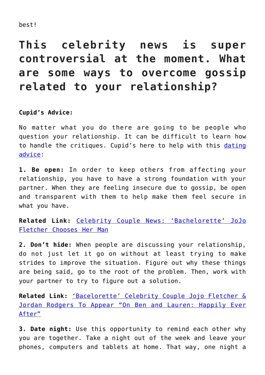#### best!

## **This celebrity news is super controversial at the moment. What are some ways to overcome gossip related to your relationship?**

### **Cupid's Advice:**

No matter what you do there are going to be people who question your relationship. It can be difficult to learn how to handle the critiques. Cupid's here to help with this [dating](http://cupidspulse.com/relationship-experts/) [advice](http://cupidspulse.com/relationship-experts/):

**1. Be open:** In order to keep others from affecting your relationship, you have to have a strong foundation with your partner. When they are feeling insecure due to gossip, be open and transparent with them to help make them feel secure in what you have.

**Related Link:** [Celebrity Couple News: 'Bachelorette' JoJo](http://cupidspulse.com/112940/celebrity-couple-news-bachelorette-jojo-fletcher-chooses-man-jordan-rodgers/) [Fletcher Chooses Her Man](http://cupidspulse.com/112940/celebrity-couple-news-bachelorette-jojo-fletcher-chooses-man-jordan-rodgers/)

**2. Don't hide:** When people are discussing your relationship, do not just let it go on without at least trying to make strides to improve the situation. Figure out why these things are being said, go to the root of the problem. Then, work with your partner to try to figure out a solution.

**Related Link:** ['Bacelorette' Celebrity Couple Jojo Fletcher &](http://cupidspulse.com/114293/bachelorette-celebrity-couple-jojo-fletcher-jordan-rodgers-appear-ben-lauren-happily-ever-after/) [Jordan Rodgers To Appear "On Ben and Lauren: Happily Ever](http://cupidspulse.com/114293/bachelorette-celebrity-couple-jojo-fletcher-jordan-rodgers-appear-ben-lauren-happily-ever-after/) [After"](http://cupidspulse.com/114293/bachelorette-celebrity-couple-jojo-fletcher-jordan-rodgers-appear-ben-lauren-happily-ever-after/)

**3. Date night:** Use this opportunity to remind each other why you are together. Take a night out of the week and leave your phones, computers and tablets at home. That way, one night a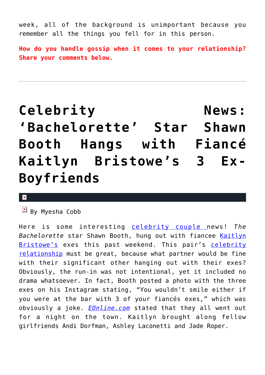week, all of the background is unimportant because you remember all the things you fell for in this person.

**How do you handle gossip when it comes to your relationship? Share your comments below.**

# Celebrity **News**: **['Bachelorette' Star Shawn](https://cupidspulse.com/106669/celebrity-news-bachelorette-star-shawn-booth-hangs-kaitlyn-bristowes-ex-boyfriends/) [Booth Hangs with Fiancé](https://cupidspulse.com/106669/celebrity-news-bachelorette-star-shawn-booth-hangs-kaitlyn-bristowes-ex-boyfriends/) [Kaitlyn Bristowe's 3 Ex-](https://cupidspulse.com/106669/celebrity-news-bachelorette-star-shawn-booth-hangs-kaitlyn-bristowes-ex-boyfriends/)[Boyfriends](https://cupidspulse.com/106669/celebrity-news-bachelorette-star-shawn-booth-hangs-kaitlyn-bristowes-ex-boyfriends/)**

#### $\overline{\mathbf{x}}$

 $\mathbb{E}$  By Myesha Cobb

Here is some interesting [celebrity couple n](http://cupidspulse.com/celebrity-relationships/long-term-relationships-flings/)ews! *The Bachelorette* star Shawn Booth, hung out with fiancee [Kaitlyn](http://cupidspulse.com/92104/kaitlyn-bristowe/) [Bristowe's](http://cupidspulse.com/92104/kaitlyn-bristowe/) exes this past weekend. This pair's [celebrity](http://cupidspulse.com/celebrity-relationships/) [relationship](http://cupidspulse.com/celebrity-relationships/) must be great, because what partner would be fine with their significant other hanging out with their exes? Obviously, the run-in was not intentional, yet it included no drama whatsoever. In fact, Booth posted a photo with the three exes on his Instagram stating, "You wouldn't smile either if you were at the bar with 3 of your fiancés exes," which was obviously a joke. *[EOnline.com](http://www.eonline.com/news/748276/the-bachelorette-s-shawn-booth-hangs-with-kaitlyn-bristowe-s-three-ex-boyfriends-and-it-s-still-a-great-night)* stated that they all went out for a night on the town. Kaitlyn brought along fellow girlfriends Andi Dorfman, Ashley Laconetti and Jade Roper.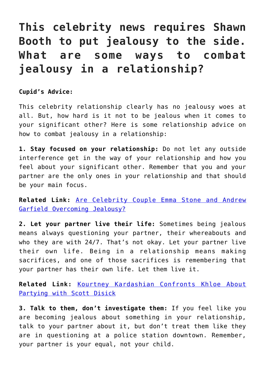## **This celebrity news requires Shawn Booth to put jealousy to the side. What are some ways to combat jealousy in a relationship?**

**Cupid's Advice:**

This celebrity relationship clearly has no jealousy woes at all. But, how hard is it not to be jealous when it comes to your significant other? Here is some relationship advice on how to combat jealousy in a relationship:

**1. Stay focused on your relationship:** Do not let any outside interference get in the way of your relationship and how you feel about your significant other. Remember that you and your partner are the only ones in your relationship and that should be your main focus.

**Related Link:** [Are Celebrity Couple Emma Stone and Andrew](http://cupidspulse.com/100064/celebrity-couple-emma-stone-andrew-garfield-overcoming-jealousy/) [Garfield Overcoming Jealousy?](http://cupidspulse.com/100064/celebrity-couple-emma-stone-andrew-garfield-overcoming-jealousy/)

**2. Let your partner live their life:** Sometimes being jealous means always questioning your partner, their whereabouts and who they are with 24/7. That's not okay. Let your partner live their own life. Being in a relationship means making sacrifices, and one of those sacrifices is remembering that your partner has their own life. Let them live it.

**Related Link:** [Kourtney Kardashian Confronts Khloe About](http://Kourtney Kardashian Confronts Khloe About Partying with Scott Disick Read more: http://cupidspulse.com/82312/kourtney-confronts-khloe-partying-with-scott-disick/#ixzz42tGqHXMS Read more at http://cupidspulse.com/82312/kourtney-confronts-khloe-partying-with-scott-disick/#DdDRT8YFwrZuJ7vM.99) [Partying with Scott Disick](http://Kourtney Kardashian Confronts Khloe About Partying with Scott Disick Read more: http://cupidspulse.com/82312/kourtney-confronts-khloe-partying-with-scott-disick/#ixzz42tGqHXMS Read more at http://cupidspulse.com/82312/kourtney-confronts-khloe-partying-with-scott-disick/#DdDRT8YFwrZuJ7vM.99)

**3. Talk to them, don't investigate them:** If you feel like you are becoming jealous about something in your relationship, talk to your partner about it, but don't treat them like they are in questioning at a police station downtown. Remember, your partner is your equal, not your child.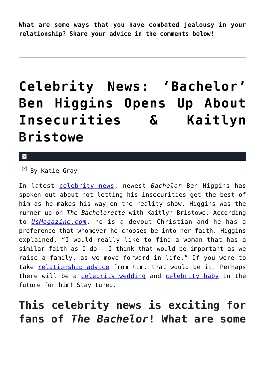**What are some ways that you have combated jealousy in your relationship? Share your advice in the comments below!** 

# **[Celebrity News: 'Bachelor'](https://cupidspulse.com/102427/celebrity-news-bachelor-ben-higgins-insecurities-kaitlyn-bristowe/) [Ben Higgins Opens Up About](https://cupidspulse.com/102427/celebrity-news-bachelor-ben-higgins-insecurities-kaitlyn-bristowe/) [Insecurities & Kaitlyn](https://cupidspulse.com/102427/celebrity-news-bachelor-ben-higgins-insecurities-kaitlyn-bristowe/) [Bristowe](https://cupidspulse.com/102427/celebrity-news-bachelor-ben-higgins-insecurities-kaitlyn-bristowe/)**

 $\mathbf{R}$ 

 $\boxed{\times}$  By Katie Gray

In latest [celebrity news,](http://cupidspulse.com) newest *Bachelor* Ben Higgins has spoken out about not letting his insecurities get the best of him as he makes his way on the reality show. Higgins was the runner up on *The Bachelorette* with Kaitlyn Bristowe. According to *[UsMagazine.com](http://www.usmagazine.com/entertainment/news/bachelor-season-20s-ben-higgins-calls-kaitlyn-bristowe-incredible-talks-insecurities-w159429)*, he is a devout Christian and he has a preference that whomever he chooses be into her faith. Higgins explained, "I would really like to find a woman that has a similar faith as I do  $-$  I think that would be important as we raise a family, as we move forward in life." If you were to take [relationship advice](http://cupidspulse.com/relationship-experts/) from him, that would be it. Perhaps there will be a [celebrity wedding](http://cupidspulse.com/celebrity-relationships/wedding-engagement/) and [celebrity baby](http://cupidspulse.com/celebrity-relationships/celebrity-babies/) in the future for him! Stay tuned.

## **This celebrity news is exciting for fans of** *The Bachelor***! What are some**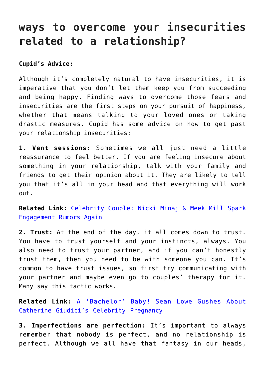## **ways to overcome your insecurities related to a relationship?**

**Cupid's Advice:**

Although it's completely natural to have insecurities, it is imperative that you don't let them keep you from succeeding and being happy. Finding ways to overcome those fears and insecurities are the first steps on your pursuit of happiness, whether that means talking to your loved ones or taking drastic measures. Cupid has some advice on how to get past your relationship insecurities:

**1. Vent sessions:** Sometimes we all just need a little reassurance to feel better. If you are feeling insecure about something in your relationship, talk with your family and friends to get their opinion about it. They are likely to tell you that it's all in your head and that everything will work out.

**Related Link:** [Celebrity Couple: Nicki Minaj & Meek Mill Spark](http://cupidspulse.com/102378/celebrity-couple-nicki-minaj-meek-mill-spark-engagement-rumors/) [Engagement Rumors Again](http://cupidspulse.com/102378/celebrity-couple-nicki-minaj-meek-mill-spark-engagement-rumors/)

**2. Trust:** At the end of the day, it all comes down to trust. You have to trust yourself and your instincts, always. You also need to trust your partner, and if you can't honestly trust them, then you need to be with someone you can. It's common to have trust issues, so first try communicating with your partner and maybe even go to couples' therapy for it. Many say this tactic works.

**Related Link:** [A 'Bachelor' Baby! Sean Lowe Gushes About](http://cupidspulse.com/102323/bachelor-baby-sean-lowe-catherine-giudicis-celebrity-pregnancy/) [Catherine Giudici's Celebrity Pregnancy](http://cupidspulse.com/102323/bachelor-baby-sean-lowe-catherine-giudicis-celebrity-pregnancy/)

**3. Imperfections are perfection:** It's important to always remember that nobody is perfect, and no relationship is perfect. Although we all have that fantasy in our heads,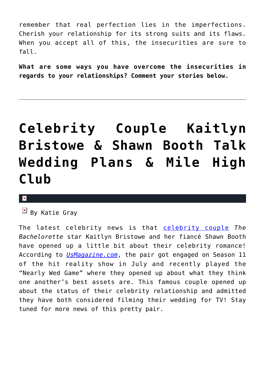remember that real perfection lies in the imperfections. Cherish your relationship for its strong suits and its flaws. When you accept all of this, the insecurities are sure to fall.

**What are some ways you have overcome the insecurities in regards to your relationships? Comment your stories below.**

# **[Celebrity Couple Kaitlyn](https://cupidspulse.com/101791/celebrity-couple-kaitlyn-bristowe-shawn-booth-wedding-plans-mile-high-club/) [Bristowe & Shawn Booth Talk](https://cupidspulse.com/101791/celebrity-couple-kaitlyn-bristowe-shawn-booth-wedding-plans-mile-high-club/) [Wedding Plans & Mile High](https://cupidspulse.com/101791/celebrity-couple-kaitlyn-bristowe-shawn-booth-wedding-plans-mile-high-club/) [Club](https://cupidspulse.com/101791/celebrity-couple-kaitlyn-bristowe-shawn-booth-wedding-plans-mile-high-club/)**

#### $\mathbf{x}$

 $\overline{B}$  By Katie Gray

The latest celebrity news is that [celebrity couple](http://cupidspulse.com/celebrity-relationships/long-term-relationships-flings/) *The Bachelorette* star Kaitlyn Bristowe and her fiancé Shawn Booth have opened up a little bit about their celebrity romance! According to *[UsMagazine.com](http://www.usmagazine.com/celebrity-news/news/kaitlyn-bristowe-and-shawn-booth-say-theyve-joined-the-mile-high-club-w158028)*, the pair got engaged on Season 11 of the hit reality show in July and recently played the "Nearly Wed Game" where they opened up about what they think one another's best assets are. This famous couple opened up about the status of their celebrity relationship and admitted they have both considered filming their wedding for TV! Stay tuned for more news of this pretty pair.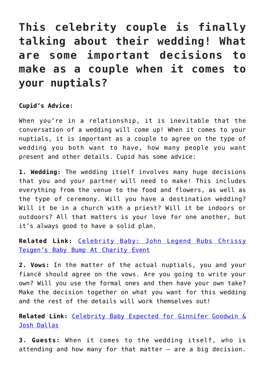## **This celebrity couple is finally talking about their wedding! What are some important decisions to make as a couple when it comes to your nuptials?**

### **Cupid's Advice:**

When you're in a relationship, it is inevitable that the conversation of a wedding will come up! When it comes to your nuptials, it is important as a couple to agree on the type of wedding you both want to have, how many people you want present and other details. Cupid has some advice:

**1. Wedding:** The wedding itself involves many huge decisions that you and your partner will need to make! This includes everything from the venue to the food and flowers, as well as the type of ceremony. Will you have a destination wedding? Will it be in a church with a priest? Will it be indoors or outdoors? All that matters is your love for one another, but it's always good to have a solid plan.

**Related Link:** [Celebrity Baby: John Legend Rubs Chrissy](http://cupidspulse.com/101763/celebrity-baby-john-legend-rubs-chrissy-teigens-bump-charity-event/) [Teigen's Baby Bump At Charity Event](http://cupidspulse.com/101763/celebrity-baby-john-legend-rubs-chrissy-teigens-bump-charity-event/)

**2. Vows:** In the matter of the actual nuptials, you and your fiancé should agree on the vows. Are you going to write your own? Will you use the formal ones and then have your own take? Make the decision together on what you want for this wedding and the rest of the details will work themselves out!

**Related Link:** [Celebrity Baby Expected for Ginnifer Goodwin &](http://cupidspulse.com/101700/celebrity-baby-expected-ginnifer-goodwin-josh-dallas/) [Josh Dallas](http://cupidspulse.com/101700/celebrity-baby-expected-ginnifer-goodwin-josh-dallas/)

**3. Guests:** When it comes to the wedding itself, who is attending and how many for that matter – are a big decision.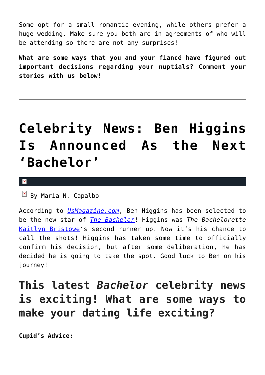Some opt for a small romantic evening, while others prefer a huge wedding. Make sure you both are in agreements of who will be attending so there are not any surprises!

**What are some ways that you and your fiancé have figured out important decisions regarding your nuptials? Comment your stories with us below!**

# **[Celebrity News: Ben Higgins](https://cupidspulse.com/99327/celebrity-news-ben-higgins-announced-next-bachelor/) [Is Announced As the Next](https://cupidspulse.com/99327/celebrity-news-ben-higgins-announced-next-bachelor/) ['Bachelor'](https://cupidspulse.com/99327/celebrity-news-ben-higgins-announced-next-bachelor/)**

#### $\pmb{\times}$

 $\overline{\mathbb{F}}$  By Maria N. Capalbo

According to *[UsMagazine.com](http://www.usmagazine.com/entertainment/news/ben-higgins-announced-as-the-season-20-bachelor-details-2015248)*, Ben Higgins has been selected to be the new star of *[The Bachelor](http://cupidspulse.com/reality-tv-couples/the-bachelor/)*! Higgins was *The Bachelorette* [Kaitlyn Bristowe'](http://cupidspulse.com/92104/kaitlyn-bristowe/)s second runner up. Now it's his chance to call the shots! Higgins has taken some time to officially confirm his decision, but after some deliberation, he has decided he is going to take the spot. Good luck to Ben on his journey!

## **This latest** *Bachelor* **celebrity news is exciting! What are some ways to make your dating life exciting?**

**Cupid's Advice:**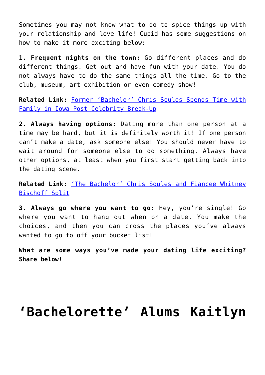Sometimes you may not know what to do to spice things up with your relationship and love life! Cupid has some suggestions on how to make it more exciting below:

**1. Frequent nights on the town:** Go different places and do different things. Get out and have fun with your date. You do not always have to do the same things all the time. Go to the club, museum, art exhibition or even comedy show!

**Related Link:** [Former 'Bachelor' Chris Soules Spends Time with](http://cupidspulse.com/93555/former-bachelor-chris-soules-family-iowa-post-celebrity-break-up/#YipkGqtLF086QU9w.99) [Family in Iowa Post Celebrity Break-Up](http://cupidspulse.com/93555/former-bachelor-chris-soules-family-iowa-post-celebrity-break-up/#YipkGqtLF086QU9w.99)

**2. Always having options:** Dating more than one person at a time may be hard, but it is definitely worth it! If one person can't make a date, ask someone else! You should never have to wait around for someone else to do something. Always have other options, at least when you first start getting back into the dating scene.

**Related Link:** ['The Bachelor' Chris Soules and Fiancee Whitney](http://cupidspulse.com/93410/the-bachelor-chris-soules-and-fiancee-whitney-bischoff-split/#z2EiUE67VUThGa75.99) [Bischoff Split](http://cupidspulse.com/93410/the-bachelor-chris-soules-and-fiancee-whitney-bischoff-split/#z2EiUE67VUThGa75.99)

**3. Always go where you want to go:** Hey, you're single! Go where you want to hang out when on a date. You make the choices, and then you can cross the places you've always wanted to go to off your bucket list!

**What are some ways you've made your dating life exciting? Share below!**

## **['Bachelorette' Alums Kaitlyn](https://cupidspulse.com/99311/bachelorette-alums-kaitlyn-bristowe-and-shawn-booth-post-sexy-selfie-on-instagram/)**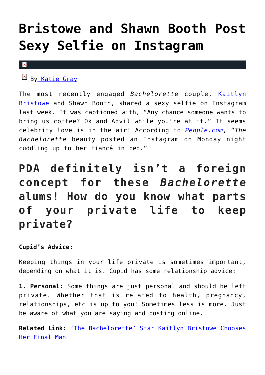# **[Bristowe and Shawn Booth Post](https://cupidspulse.com/99311/bachelorette-alums-kaitlyn-bristowe-and-shawn-booth-post-sexy-selfie-on-instagram/) [Sexy Selfie on Instagram](https://cupidspulse.com/99311/bachelorette-alums-kaitlyn-bristowe-and-shawn-booth-post-sexy-selfie-on-instagram/)**

#### $\vert \mathbf{x} \vert$

B[y Katie Gray](http://cupidspulse.com/105088/katie-gray/)

The most recently engaged *Bachelorette* couple, [Kaitlyn](http://cupidspulse.com/92104/kaitlyn-bristowe/) [Bristowe](http://cupidspulse.com/92104/kaitlyn-bristowe/) and Shawn Booth, shared a sexy selfie on Instagram last week. It was captioned with, "Any chance someone wants to bring us coffee? Ok and Advil while you're at it." It seems celebrity love is in the air! According to *[People.com](http://www.people.com/article/kaitlyn-bristowe-shawn-booth-share-sexy-instagram-bed)*, "*The Bachelorette* beauty posted an Instagram on Monday night cuddling up to her fiancé in bed."

## **PDA definitely isn't a foreign concept for these** *Bachelorette* **alums! How do you know what parts of your private life to keep private?**

### **Cupid's Advice:**

Keeping things in your life private is sometimes important, depending on what it is. Cupid has some relationship advice:

**1. Personal:** Some things are just personal and should be left private. Whether that is related to health, pregnancy, relationships, etc is up to you! Sometimes less is more. Just be aware of what you are saying and posting online.

**Related Link:** ['The Bachelorette' Star Kaitlyn Bristowe Chooses](http://cupidspulse.com/97616/bachelorette-kaitlyn-bristowe-chooses-final-man/) [Her Final Man](http://cupidspulse.com/97616/bachelorette-kaitlyn-bristowe-chooses-final-man/)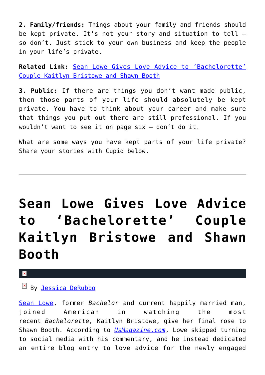**2. Family/friends:** Things about your family and friends should be kept private. It's not your story and situation to tell – so don't. Just stick to your own business and keep the people in your life's private.

**Related Link:** [Sean Lowe Gives Love Advice to 'Bachelorette'](http://cupidspulse.com/98339/sean-lowe-love-advice-bachelorette-couple-kaitlyn-bristowe-shawn-booth/) [Couple Kaitlyn Bristowe and Shawn Booth](http://cupidspulse.com/98339/sean-lowe-love-advice-bachelorette-couple-kaitlyn-bristowe-shawn-booth/)

**3. Public:** If there are things you don't want made public, then those parts of your life should absolutely be kept private. You have to think about your career and make sure that things you put out there are still professional. If you wouldn't want to see it on page six – don't do it.

What are some ways you have kept parts of your life private? Share your stories with Cupid below.

# **[Sean Lowe Gives Love Advice](https://cupidspulse.com/98339/sean-lowe-love-advice-bachelorette-couple-kaitlyn-bristowe-shawn-booth/) [to 'Bachelorette' Couple](https://cupidspulse.com/98339/sean-lowe-love-advice-bachelorette-couple-kaitlyn-bristowe-shawn-booth/) [Kaitlyn Bristowe and Shawn](https://cupidspulse.com/98339/sean-lowe-love-advice-bachelorette-couple-kaitlyn-bristowe-shawn-booth/) [Booth](https://cupidspulse.com/98339/sean-lowe-love-advice-bachelorette-couple-kaitlyn-bristowe-shawn-booth/)**

## By <u>Jessica DeRubbo</u>

[Sean Lowe](http://cupidspulse.com/88142/sean-lowe/), former *Bachelor* and current happily married man, joined American in watching the most recent *Bachelorette,* Kaitlyn Bristowe, give her final rose to Shawn Booth. According to *[UsMagazine.com](http://www.usmagazine.com/celebrity-news/news/sean-lowe-gives-love-advice-to-kaitlyn-bristowe-shawn-booth-2015307)*, Lowe skipped turning to social media with his commentary, and he instead dedicated an entire blog entry to love advice for the newly engaged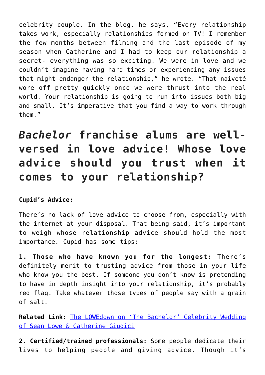celebrity couple. In the blog, he says, "Every relationship takes work, especially relationships formed on TV! I remember the few months between filming and the last episode of my season when Catherine and I had to keep our relationship a secret- everything was so exciting. We were in love and we couldn't imagine having hard times or experiencing any issues that might endanger the relationship," he wrote. "That naiveté wore off pretty quickly once we were thrust into the real world. Your relationship is going to run into issues both big and small. It's imperative that you find a way to work through them."

*Bachelor* **franchise alums are wellversed in love advice! Whose love advice should you trust when it comes to your relationship?**

### **Cupid's Advice:**

There's no lack of love advice to choose from, especially with the internet at your disposal. That being said, it's important to weigh whose relationship advice should hold the most importance. Cupid has some tips:

**1. Those who have known you for the longest:** There's definitely merit to trusting advice from those in your life who know you the best. If someone you don't know is pretending to have in depth insight into your relationship, it's probably red flag. Take whatever those types of people say with a grain of salt.

**Related Link:** [The LOWEdown on 'The Bachelor' Celebrity Wedding](http://cupidspulse.com/67441/bachelor-wedding-of-sean-lowe-and-catherine-giudici/) [of Sean Lowe & Catherine Giudici](http://cupidspulse.com/67441/bachelor-wedding-of-sean-lowe-and-catherine-giudici/)

**2. Certified/trained professionals:** Some people dedicate their lives to helping people and giving advice. Though it's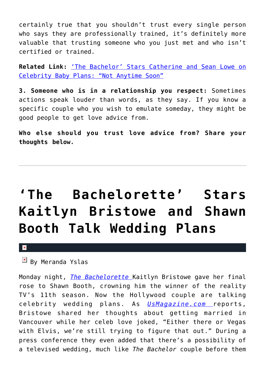certainly true that you shouldn't trust every single person who says they are professionally trained, it's definitely more valuable that trusting someone who you just met and who isn't certified or trained.

**Related Link:** ['The Bachelor' Stars Catherine and Sean Lowe on](http://cupidspulse.com/80731/the-bachelor-sean-lowe-and-catherine-giudici-on-married-life-babies/) [Celebrity Baby Plans: "Not Anytime Soon"](http://cupidspulse.com/80731/the-bachelor-sean-lowe-and-catherine-giudici-on-married-life-babies/)

**3. Someone who is in a relationship you respect:** Sometimes actions speak louder than words, as they say. If you know a specific couple who you wish to emulate someday, they might be good people to get love advice from.

**Who else should you trust love advice from? Share your thoughts below.**

# **['The Bachelorette' Stars](https://cupidspulse.com/98075/bachelorette-stars-kaitlyn-bristowe-shawn-booth-wedding-plans/) [Kaitlyn Bristowe and Shawn](https://cupidspulse.com/98075/bachelorette-stars-kaitlyn-bristowe-shawn-booth-wedding-plans/) [Booth Talk Wedding Plans](https://cupidspulse.com/98075/bachelorette-stars-kaitlyn-bristowe-shawn-booth-wedding-plans/)**

 $\mathbf{x}$ 

By Meranda Yslas

Monday night, *[The Bachelorette](http://cupidspulse.com/reality-tv-couples/the-bachelorette/)* Kaitlyn Bristowe gave her final rose to Shawn Booth, crowning him the winner of the reality TV's 11th season. Now the Hollywood couple are talking celebrity wedding plans. As *[UsMagazine.com](http://www.usmagazine.com/celebrity-news/news/kaitlyn-bristowe-shawn-booth-talk-wedding-plans-will-it-be-televised-2015297)* reports, Bristowe shared her thoughts about getting married in Vancouver while her celeb love joked, "Either there or Vegas with Elvis, we're still trying to figure that out." During a press conference they even added that there's a possibility of a televised wedding, much like *The Bachelor* couple before them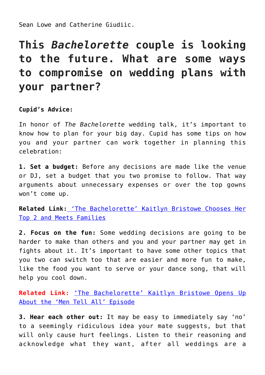Sean Lowe and Catherine Giudiic.

## **This** *Bachelorette* **couple is looking to the future. What are some ways to compromise on wedding plans with your partner?**

**Cupid's Advice:**

In honor of *The Bachelorette* wedding talk, it's important to know how to plan for your big day. Cupid has some tips on how you and your partner can work together in planning this celebration:

**1. Set a budget:** Before any decisions are made like the venue or DJ, set a budget that you two promise to follow. That way arguments about unnecessary expenses or over the top gowns won't come up.

**Related Link:** ['The Bachelorette' Kaitlyn Bristowe Chooses Her](http://cupidspulse.com/95769/the-bachelorette-kaitlyn-bristowe-chooses-her-top-2-and-meets-families/) [Top 2 and Meets Families](http://cupidspulse.com/95769/the-bachelorette-kaitlyn-bristowe-chooses-her-top-2-and-meets-families/)

**2. Focus on the fun:** Some wedding decisions are going to be harder to make than others and you and your partner may get in fights about it. It's important to have some other topics that you two can switch too that are easier and more fun to make, like the food you want to serve or your dance song, that will help you cool down.

**Related Link:** ['The Bachelorette' Kaitlyn Bristowe Opens Up](http://cupidspulse.com/96830/bachelorette-kaitlyn-bristowe-men-tell-all-episode/) [About the 'Men Tell All' Episode](http://cupidspulse.com/96830/bachelorette-kaitlyn-bristowe-men-tell-all-episode/)

**3. Hear each other out:** It may be easy to immediately say 'no' to a seemingly ridiculous idea your mate suggests, but that will only cause hurt feelings. Listen to their reasoning and acknowledge what they want, after all weddings are a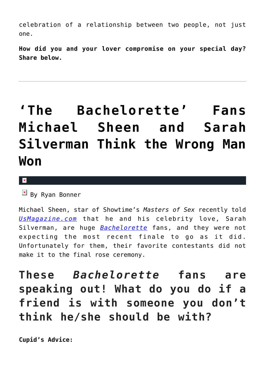celebration of a relationship between two people, not just one.

**How did you and your lover compromise on your special day? Share below.** 

# **['The Bachelorette' Fans](https://cupidspulse.com/97940/the-bachelorette-fans-michael-sheen-sarah-silverman-react/) [Michael Sheen and Sarah](https://cupidspulse.com/97940/the-bachelorette-fans-michael-sheen-sarah-silverman-react/) [Silverman Think the Wrong Man](https://cupidspulse.com/97940/the-bachelorette-fans-michael-sheen-sarah-silverman-react/) [Won](https://cupidspulse.com/97940/the-bachelorette-fans-michael-sheen-sarah-silverman-react/)**

 $\mathbf{x}$ 

 $\mathbb{E}$  By Ryan Bonner

Michael Sheen, star of Showtime's *Masters of Sex* recently told *[UsMagazine.com](http://www.usmagazine.com/entertainment/news/michael-sheen-sarah-silverman-think-wrong-man-won-the-bachelorette-2015287)* that he and his celebrity love, Sarah Silverman, are huge *[Bachelorette](http://cupidspulse.com/reality-tv-couples/the-bachelorette/)* fans, and they were not expecting the most recent finale to go as it did. Unfortunately for them, their favorite contestants did not make it to the final rose ceremony.

**These** *Bachelorette* **fans are speaking out! What do you do if a friend is with someone you don't think he/she should be with?**

**Cupid's Advice:**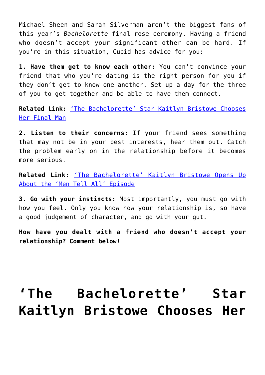Michael Sheen and Sarah Silverman aren't the biggest fans of this year's *Bachelorette* final rose ceremony. Having a friend who doesn't accept your significant other can be hard. If you're in this situation, Cupid has advice for you:

**1. Have them get to know each other:** You can't convince your friend that who you're dating is the right person for you if they don't get to know one another. Set up a day for the three of you to get together and be able to have them connect.

**Related Link:** ['The Bachelorette' Star Kaitlyn Bristowe Chooses](http://cupidspulse.com/97616/bachelorette-kaitlyn-bristowe-chooses-final-man/) [Her Final Man](http://cupidspulse.com/97616/bachelorette-kaitlyn-bristowe-chooses-final-man/)

**2. Listen to their concerns:** If your friend sees something that may not be in your best interests, hear them out. Catch the problem early on in the relationship before it becomes more serious.

**Related Link:** ['The Bachelorette' Kaitlyn Bristowe Opens Up](http://cupidspulse.com/96830/bachelorette-kaitlyn-bristowe-men-tell-all-episode/) [About the 'Men Tell All' Episode](http://cupidspulse.com/96830/bachelorette-kaitlyn-bristowe-men-tell-all-episode/)

**3. Go with your instincts:** Most importantly, you must go with how you feel. Only you know how your relationship is, so have a good judgement of character, and go with your gut.

**How have you dealt with a friend who doesn't accept your relationship? Comment below!**

# **['The Bachelorette' Star](https://cupidspulse.com/97616/bachelorette-kaitlyn-bristowe-chooses-final-man/) [Kaitlyn Bristowe Chooses Her](https://cupidspulse.com/97616/bachelorette-kaitlyn-bristowe-chooses-final-man/)**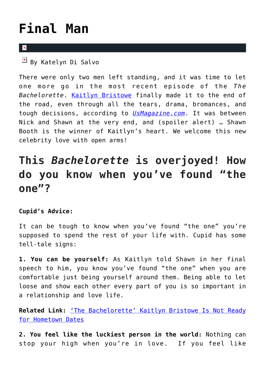# **[Final Man](https://cupidspulse.com/97616/bachelorette-kaitlyn-bristowe-chooses-final-man/)**

### $\overline{\mathbf{x}}$

By Katelyn Di Salvo

There were only two men left standing, and it was time to let one more go in the most recent episode of the *The Bachelorette*. [Kaitlyn Bristowe](http://cupidspulse.com/92104/kaitlyn-bristowe/) finally made it to the end of the road, even through all the tears, drama, bromances, and tough decisions, according to *[UsMagazine.com](http://www.usmagazine.com/entertainment/news/bachelorette-finale-recap-does-kaitlyn-bristowe-choose-shawn-or-nick-2015277)*. It was between Nick and Shawn at the very end, and (spoiler alert) … Shawn Booth is the winner of Kaitlyn's heart. We welcome this new celebrity love with open arms!

## **This** *Bachelorette* **is overjoyed! How do you know when you've found "the one"?**

## **Cupid's Advice:**

It can be tough to know when you've found "the one" you're supposed to spend the rest of your life with. Cupid has some tell-tale signs:

**1. You can be yourself:** As Kaitlyn told Shawn in her final speech to him, you know you've found "the one" when you are comfortable just being yourself around them. Being able to let loose and show each other every part of you is so important in a relationship and love life.

**Related Link:** ['The Bachelorette' Kaitlyn Bristowe Is Not Ready](http://cupidspulse.com/94700/the-bachelorette-kaitlyn-bristowe-hometown-dates/#Td8gTgBxEvMgOGZo.99) [for Hometown Dates](http://cupidspulse.com/94700/the-bachelorette-kaitlyn-bristowe-hometown-dates/#Td8gTgBxEvMgOGZo.99)

**2. You feel like the luckiest person in the world:** Nothing can stop your high when you're in love. If you feel like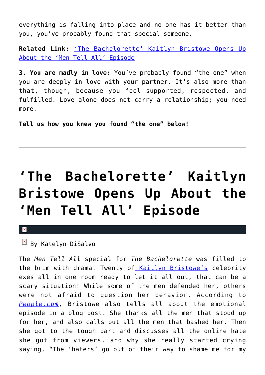everything is falling into place and no one has it better than you, you've probably found that special someone.

**Related Link:** ['The Bachelorette' Kaitlyn Bristowe Opens Up](http://cupidspulse.com/96830/bachelorette-kaitlyn-bristowe-men-tell-all-episode/#0l0o21HXlz8VO6oE.99) [About the 'Men Tell All' Episode](http://cupidspulse.com/96830/bachelorette-kaitlyn-bristowe-men-tell-all-episode/#0l0o21HXlz8VO6oE.99)

**3. You are madly in love:** You've probably found "the one" when you are deeply in love with your partner. It's also more than that, though, because you feel supported, respected, and fulfilled. Love alone does not carry a relationship; you need more.

**Tell us how you knew you found "the one" below!**

# **['The Bachelorette' Kaitlyn](https://cupidspulse.com/96830/bachelorette-kaitlyn-bristowe-men-tell-all-episode/) [Bristowe Opens Up About the](https://cupidspulse.com/96830/bachelorette-kaitlyn-bristowe-men-tell-all-episode/) ['Men Tell All' Episode](https://cupidspulse.com/96830/bachelorette-kaitlyn-bristowe-men-tell-all-episode/)**

 $\mathbf x$ 

 $\mathbb{F}$  By Katelyn DiSalvo

The *Men Tell All* special for *The Bachelorette* was filled to the brim with drama. Twenty of [Kaitlyn Bristowe's](http://cupidspulse.com/92104/kaitlyn-bristowe/) celebrity exes all in one room ready to let it all out, that can be a scary situation! While some of the men defended her, others were not afraid to question her behavior. According to *[People.com](http://www.people.com/article/bachelorette-kaitlyn-bristowe-blog-men-tell-all)*, Bristowe also tells all about the emotional episode in a blog post. She thanks all the men that stood up for her, and also calls out all the men that bashed her. Then she got to the tough part and discusses all the online hate she got from viewers, and why she really started crying saying, "The 'haters' go out of their way to shame me for my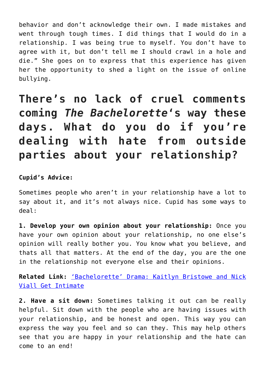behavior and don't acknowledge their own. I made mistakes and went through tough times. I did things that I would do in a relationship. I was being true to myself. You don't have to agree with it, but don't tell me I should crawl in a hole and die." She goes on to express that this experience has given her the opportunity to shed a light on the issue of online bullying.

**There's no lack of cruel comments coming** *The Bachelorette***'s way these days. What do you do if you're dealing with hate from outside parties about your relationship?**

### **Cupid's Advice:**

Sometimes people who aren't in your relationship have a lot to say about it, and it's not always nice. Cupid has some ways to deal:

**1. Develop your own opinion about your relationship:** Once you have your own opinion about your relationship, no one else's opinion will really bother you. You know what you believe, and thats all that matters. At the end of the day, you are the one in the relationship not everyone else and their opinions.

**Related Link:** ['Bachelorette' Drama: Kaitlyn Bristowe and Nick](http://cupidspulse.com/94454/bachelorette-drama-kaitlyn-bristowe-nick-viall-get-intimate/#Z7kkhwCTc3LZjTmg.99) [Viall Get Intimate](http://cupidspulse.com/94454/bachelorette-drama-kaitlyn-bristowe-nick-viall-get-intimate/#Z7kkhwCTc3LZjTmg.99)

**2. Have a sit down:** Sometimes talking it out can be really helpful. Sit down with the people who are having issues with your relationship, and be honest and open. This way you can express the way you feel and so can they. This may help others see that you are happy in your relationship and the hate can come to an end!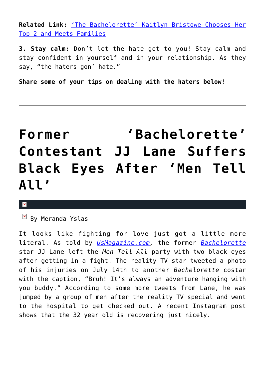**Related Link:** ['The Bachelorette' Kaitlyn Bristowe Chooses Her](http://cupidspulse.com/95769/the-bachelorette-kaitlyn-bristowe-chooses-her-top-2-and-meets-families/#dLI3wWSjETOtf0zx.99) [Top 2 and Meets Families](http://cupidspulse.com/95769/the-bachelorette-kaitlyn-bristowe-chooses-her-top-2-and-meets-families/#dLI3wWSjETOtf0zx.99)

**3. Stay calm:** Don't let the hate get to you! Stay calm and stay confident in yourself and in your relationship. As they say, "the haters gon' hate."

**Share some of your tips on dealing with the haters below!**

# **[Former 'Bachelorette'](https://cupidspulse.com/96161/bachelorette-contestant-jj-lane-suffers-black-eyes-after-men-tell-all/) [Contestant JJ Lane Suffers](https://cupidspulse.com/96161/bachelorette-contestant-jj-lane-suffers-black-eyes-after-men-tell-all/) [Black Eyes After 'Men Tell](https://cupidspulse.com/96161/bachelorette-contestant-jj-lane-suffers-black-eyes-after-men-tell-all/) [All'](https://cupidspulse.com/96161/bachelorette-contestant-jj-lane-suffers-black-eyes-after-men-tell-all/)**

#### $\mathbf x$

By Meranda Yslas

It looks like fighting for love just got a little more literal. As told by *[UsMagazine.com,](http://www.usmagazine.com/celebrity-news/news/bachelorette-alum-jj-lane-suffers-black-eyes-after-men-tell-all-photo-2015157)* the former *[Bachelorette](http://cupidspulse.com/reality-tv-couples/the-bachelorette/)* star JJ Lane left the *Men Tell All* party with two black eyes after getting in a fight. The reality TV star tweeted a photo of his injuries on July 14th to another *Bachelorette* costar with the caption, "Bruh! It's always an adventure hanging with you buddy." According to some more tweets from Lane, he was jumped by a group of men after the reality TV special and went to the hospital to get checked out. A recent Instagram post shows that the 32 year old is recovering just nicely.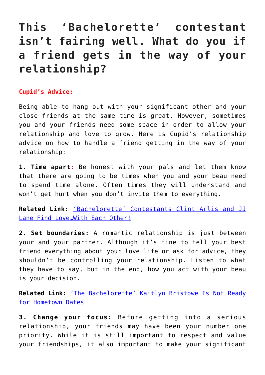## **This 'Bachelorette' contestant isn't fairing well. What do you if a friend gets in the way of your relationship?**

#### **Cupid's Advice:**

Being able to hang out with your significant other and your close friends at the same time is great. However, sometimes you and your friends need some space in order to allow your relationship and love to grow. Here is Cupid's relationship advice on how to handle a friend getting in the way of your relationship:

**1. Time apart:** Be honest with your pals and let them know that there are going to be times when you and your beau need to spend time alone. Often times they will understand and won't get hurt when you don't invite them to everything.

**Related Link:** ['Bachelorette' Contestants Clint Arlis and JJ](http://cupidspulse.com/93497/bachelorette-contestants-clint-jj-find-love-each-other/) [Lane Find Love…With Each Other!](http://cupidspulse.com/93497/bachelorette-contestants-clint-jj-find-love-each-other/)

**2. Set boundaries:** A romantic relationship is just between your and your partner. Although it's fine to tell your best friend everything about your love life or ask for advice, they shouldn't be controlling your relationship. Listen to what they have to say, but in the end, how you act with your beau is your decision.

**Related Link:** ['The Bachelorette' Kaitlyn Bristowe Is Not Ready](http://cupidspulse.com/94700/the-bachelorette-kaitlyn-bristowe-hometown-dates/) [for Hometown Dates](http://cupidspulse.com/94700/the-bachelorette-kaitlyn-bristowe-hometown-dates/)

**3. Change your focus:** Before getting into a serious relationship, your friends may have been your number one priority. While it is still important to respect and value your friendships, it also important to make your significant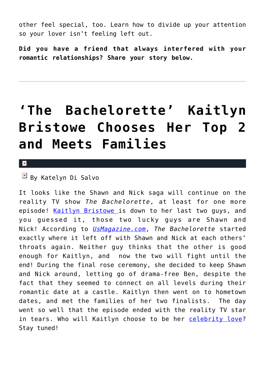other feel special, too. Learn how to divide up your attention so your lover isn't feeling left out.

**Did you have a friend that always interfered with your romantic relationships? Share your story below.**

# **['The Bachelorette' Kaitlyn](https://cupidspulse.com/95769/the-bachelorette-kaitlyn-bristowe-chooses-her-top-2-and-meets-families/) [Bristowe Chooses Her Top 2](https://cupidspulse.com/95769/the-bachelorette-kaitlyn-bristowe-chooses-her-top-2-and-meets-families/) [and Meets Families](https://cupidspulse.com/95769/the-bachelorette-kaitlyn-bristowe-chooses-her-top-2-and-meets-families/)**

 $\mathbf x$ 

## By Katelyn Di Salvo

It looks like the Shawn and Nick saga will continue on the reality TV show *The Bachelorette*, at least for one more episode! [Kaitlyn Bristowe](http://cupidspulse.com/92104/kaitlyn-bristowe/) is down to her last two guys, and you guessed it, those two lucky guys are Shawn and Nick! According to *[UsMagazine.com](http://www.usmagazine.com/entertainment/news/bachelorette-recap-kaitlyn-bristowe-chooses-final-2-meets-the-family-2015137)*, *The Bachelorette* started exactly where it left off with Shawn and Nick at each others' throats again. Neither guy thinks that the other is good enough for Kaitlyn, and now the two will fight until the end! During the final rose ceremony, she decided to keep Shawn and Nick around, letting go of drama-free Ben, despite the fact that they seemed to connect on all levels during their romantic date at a castle. Kaitlyn then went on to hometown dates, and met the families of her two finalists. The day went so well that the episode ended with the reality TV star in tears. Who will Kaitlyn choose to be her [celebrity love?](http://cupidspulse.com/celebrity-relationships/) Stay tuned!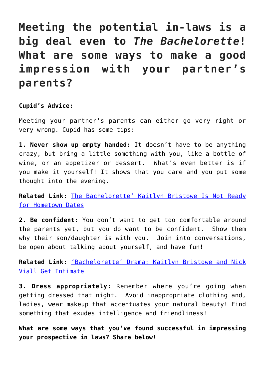**Meeting the potential in-laws is a big deal even to** *The Bachelorette***! What are some ways to make a good impression with your partner's parents?**

**Cupid's Advice:** 

Meeting your partner's parents can either go very right or very wrong. Cupid has some tips:

**1. Never show up empty handed:** It doesn't have to be anything crazy, but bring a little something with you, like a bottle of wine, or an appetizer or dessert. What's even better is if you make it yourself! It shows that you care and you put some thought into the evening.

**Related Link:** [The Bachelorette' Kaitlyn Bristowe Is Not Ready](http://cupidspulse.com/94700/the-bachelorette-kaitlyn-bristowe-hometown-dates/#qsW45lG9XSKlQWxP.99) [for Hometown Dates](http://cupidspulse.com/94700/the-bachelorette-kaitlyn-bristowe-hometown-dates/#qsW45lG9XSKlQWxP.99)

**2. Be confident:** You don't want to get too comfortable around the parents yet, but you do want to be confident. Show them why their son/daughter is with you. Join into conversations, be open about talking about yourself, and have fun!

**Related Link:** ['Bachelorette' Drama: Kaitlyn Bristowe and Nick](http://cupidspulse.com/94454/bachelorette-drama-kaitlyn-bristowe-nick-viall-get-intimate/#DvSQJxSjdjjXbYrd.99) [Viall Get Intimate](http://cupidspulse.com/94454/bachelorette-drama-kaitlyn-bristowe-nick-viall-get-intimate/#DvSQJxSjdjjXbYrd.99)

**3. Dress appropriately:** Remember where you're going when getting dressed that night. Avoid inappropriate clothing and, ladies, wear makeup that accentuates your natural beauty! Find something that exudes intelligence and friendliness!

**What are some ways that you've found successful in impressing your prospective in laws? Share below**!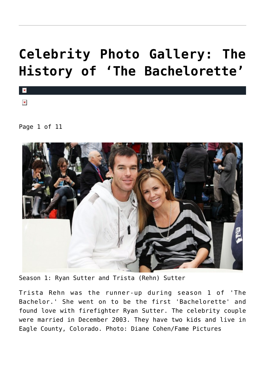# **[Celebrity Photo Gallery: The](https://cupidspulse.com/95007/celebrity-photo-gallery-the-history-of-the-bachelorette/) [History of 'The Bachelorette'](https://cupidspulse.com/95007/celebrity-photo-gallery-the-history-of-the-bachelorette/)**

 $\pmb{\times}$ 

 $\overline{\mathbf{x}}$ 

Page 1 of 11



Season 1: Ryan Sutter and Trista (Rehn) Sutter

Trista Rehn was the runner-up during season 1 of 'The Bachelor.' She went on to be the first 'Bachelorette' and found love with firefighter Ryan Sutter. The celebrity couple were married in December 2003. They have two kids and live in Eagle County, Colorado. Photo: Diane Cohen/Fame Pictures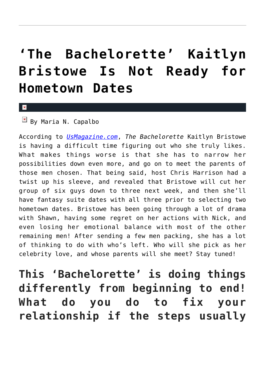# **['The Bachelorette' Kaitlyn](https://cupidspulse.com/94700/the-bachelorette-kaitlyn-bristowe-hometown-dates/) [Bristowe Is Not Ready for](https://cupidspulse.com/94700/the-bachelorette-kaitlyn-bristowe-hometown-dates/) [Hometown Dates](https://cupidspulse.com/94700/the-bachelorette-kaitlyn-bristowe-hometown-dates/)**

x

 $\boxed{\times}$  By Maria N. Capalbo

According to *[UsMagazine.com](http://www.usmagazine.com/entertainment/news/bachelorette-recap-kaitlyn-bristowe-isnt-ready-for-hometown-dates-2015296)*, *The Bachelorette* Kaitlyn Bristowe is having a difficult time figuring out who she truly likes. What makes things worse is that she has to narrow her possibilities down even more, and go on to meet the parents of those men chosen. That being said, host Chris Harrison had a twist up his sleeve, and revealed that Bristowe will cut her group of six guys down to three next week, and then she'll have fantasy suite dates with all three prior to selecting two hometown dates. Bristowe has been going through a lot of drama with Shawn, having some regret on her actions with Nick, and even losing her emotional balance with most of the other remaining men! After sending a few men packing, she has a lot of thinking to do with who's left. Who will she pick as her celebrity love, and whose parents will she meet? Stay tuned!

**This 'Bachelorette' is doing things differently from beginning to end! What do you do to fix your relationship if the steps usually**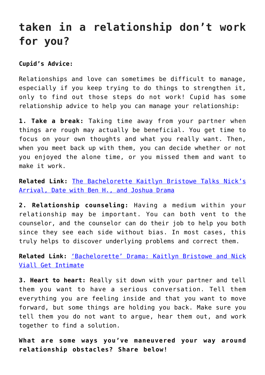## **taken in a relationship don't work for you?**

### **Cupid's Advice:**

Relationships and love can sometimes be difficult to manage, especially if you keep trying to do things to strengthen it, only to find out those steps do not work! Cupid has some relationship advice to help you can manage your relationship:

**1. Take a break:** Taking time away from your partner when things are rough may actually be beneficial. You get time to focus on your own thoughts and what you really want. Then, when you meet back up with them, you can decide whether or not you enjoyed the alone time, or you missed them and want to make it work.

**Related Link:** [The Bachelorette Kaitlyn Bristowe Talks Nick's](http://cupidspulse.com/94069/bachelorette-kaitlyn-bristowe-nicks-arrival-date-ben-h-joshua-drama/#sTJ3RRCrb80OgXyK.99) [Arrival, Date with Ben H., and Joshua Drama](http://cupidspulse.com/94069/bachelorette-kaitlyn-bristowe-nicks-arrival-date-ben-h-joshua-drama/#sTJ3RRCrb80OgXyK.99)

**2. Relationship counseling:** Having a medium within your relationship may be important. You can both vent to the counselor, and the counselor can do their job to help you both since they see each side without bias. In most cases, this truly helps to discover underlying problems and correct them.

**Related Link:** ['Bachelorette' Drama: Kaitlyn Bristowe and Nick](http://cupidspulse.com/94454/bachelorette-drama-kaitlyn-bristowe-nick-viall-get-intimate/#lxbM2ds2BJFvh8yV.99) [Viall Get Intimate](http://cupidspulse.com/94454/bachelorette-drama-kaitlyn-bristowe-nick-viall-get-intimate/#lxbM2ds2BJFvh8yV.99)

**3. Heart to heart:** Really sit down with your partner and tell them you want to have a serious conversation. Tell them everything you are feeling inside and that you want to move forward, but some things are holding you back. Make sure you tell them you do not want to argue, hear them out, and work together to find a solution.

**What are some ways you've maneuvered your way around relationship obstacles? Share below!**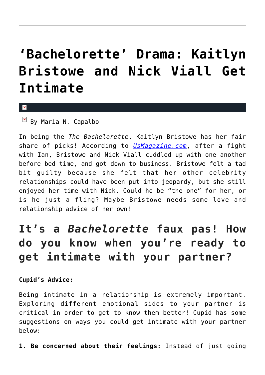# **['Bachelorette' Drama: Kaitlyn](https://cupidspulse.com/94454/bachelorette-drama-kaitlyn-bristowe-nick-viall-get-intimate/) [Bristowe and Nick Viall Get](https://cupidspulse.com/94454/bachelorette-drama-kaitlyn-bristowe-nick-viall-get-intimate/) [Intimate](https://cupidspulse.com/94454/bachelorette-drama-kaitlyn-bristowe-nick-viall-get-intimate/)**

x

 $\overline{\mathbb{F}}$  By Maria N. Capalbo

In being the *The Bachelorette*, Kaitlyn Bristowe has her fair share of picks! According to *[UsMagazine.com](http://www.usmagazine.com/entertainment/news/bachelorette-recap-kaitlyn-bristowe-and-nick-viall-have-sex-2015226)*, after a fight with Ian, Bristowe and Nick Viall cuddled up with one another before bed time, and got down to business. Bristowe felt a tad bit guilty because she felt that her other celebrity relationships could have been put into jeopardy, but she still enjoyed her time with Nick. Could he be "the one" for her, or is he just a fling? Maybe Bristowe needs some love and relationship advice of her own!

## **It's a** *Bachelorette* **faux pas! How do you know when you're ready to get intimate with your partner?**

**Cupid's Advice:**

Being intimate in a relationship is extremely important. Exploring different emotional sides to your partner is critical in order to get to know them better! Cupid has some suggestions on ways you could get intimate with your partner below:

**1. Be concerned about their feelings:** Instead of just going